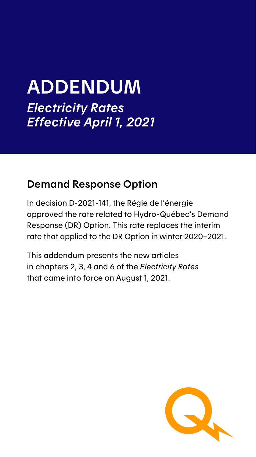# ADDENDUM *Electricity Rates Effective April 1, 2021*

## Demand Response Option

In decision D-2021-141, the Régie de l'énergie approved the rate related to Hydro-Québec's Demand Response (DR) Option. This rate replaces the interim rate that applied to the DR Option in winter 2020–2021.

This addendum presents the new articles in chapters 2, 3, 4 and 6 of the *Electricity Rates* that came into force on August 1, 2021.

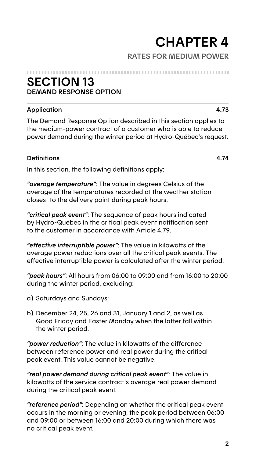# **CHAPTER 4**<br>RATES FOR MEDIUM POWER

#### 

## **SECTION 13** DEMAND RESPONSE OPTION

### Application 4.73

The Demand Response Option described in this section applies to the medium-power contract of a customer who is able to reduce power demand during the winter period at Hydro-Québec's request.

#### Definitions 4.74

In this section, the following definitions apply:

*"average temperature"*: The value in degrees Celsius of the average of the temperatures recorded at the weather station closest to the delivery point during peak hours.

*"critical peak event"*: The sequence of peak hours indicated by Hydro-Québec in the critical peak event notification sent to the customer in accordance with Article 4.79.

*"effective interruptible power"*: The value in kilowatts of the average power reductions over all the critical peak events. The effective interruptible power is calculated after the winter period.

*"peak hours"*: All hours from 06:00 to 09:00 and from 16:00 to 20:00 during the winter period, excluding:

- a) Saturdays and Sundays;
- b) December 24, 25, 26 and 31, January 1 and 2, as well as Good Friday and Easter Monday when the latter fall within the winter period.

*"power reduction"*: The value in kilowatts of the difference between reference power and real power during the critical peak event. This value cannot be negative.

*"real power demand during critical peak event"*: The value in kilowatts of the service contract's average real power demand during the critical peak event.

*"reference period"*: Depending on whether the critical peak event occurs in the morning or evening, the peak period between 06:00 and 09:00 or between 16:00 and 20:00 during which there was no critical peak event.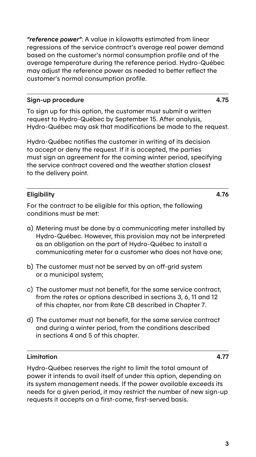*"reference power"*: A value in kilowatts estimated from linear regressions of the service contract's average real power demand based on the customer's normal consumption profile and of the average temperature during the reference period. Hydro-Québec may adjust the reference power as needed to better reflect the customer's normal consumption profile.

### Sign-up procedure 4.75

To sign up for this option, the customer must submit a written request to Hydro-Québec by September 15. After analysis, Hydro-Québec may ask that modifications be made to the request.

Hydro-Québec notifies the customer in writing of its decision to accept or deny the request. If it is accepted, the parties must sign an agreement for the coming winter period, specifying the service contract covered and the weather station closest to the delivery point.

## Eligibility 4.76

For the contract to be eligible for this option, the following conditions must be met:

- a) Metering must be done by a communicating meter installed by Hydro-Québec. However, this provision may not be interpreted as an obligation on the part of Hydro-Québec to install a communicating meter for a customer who does not have one;
- b) The customer must not be served by an off-grid system or a municipal system;
- c) The customer must not benefit, for the same service contract, from the rates or options described in sections 3, 6, 11 and 12 of this chapter, nor from Rate CB described in Chapter 7.
- d) The customer must not benefit, for the same service contract and during a winter period, from the conditions described in sections 4 and 5 of this chapter.

### Limitation 4.77

Hydro-Québec reserves the right to limit the total amount of power it intends to avail itself of under this option, depending on its system management needs. If the power available exceeds its needs for a given period, it may restrict the number of new sign-up requests it accepts on a first-come, first-served basis.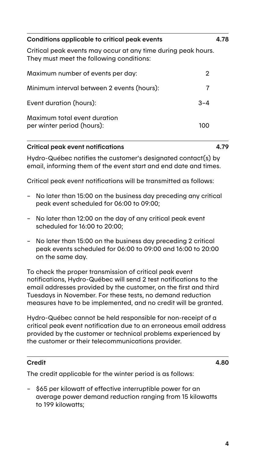| Conditions applicable to critical peak events                                                             | 4.78    |
|-----------------------------------------------------------------------------------------------------------|---------|
| Critical peak events may occur at any time during peak hours.<br>They must meet the following conditions: |         |
| Maximum number of events per day:                                                                         | 2       |
| Minimum interval between 2 events (hours):                                                                | 7       |
| Event duration (hours):                                                                                   | $3 - 4$ |
| Maximum total event duration<br>per winter period (hours):                                                | 100     |

#### Critical peak event notifications 4.79

Hydro-Québec notifies the customer's designated contact(s) by email, informing them of the event start and end date and times.

Critical peak event notifications will be transmitted as follows:

- No later than 15:00 on the business day preceding any critical peak event scheduled for 06:00 to 09:00;
- No later than 12:00 on the day of any critical peak event scheduled for 16:00 to 20:00;
- No later than 15:00 on the business day preceding 2 critical peak events scheduled for 06:00 to 09:00 and 16:00 to 20:00 on the same day.

To check the proper transmission of critical peak event notifications, Hydro-Québec will send 2 test notifications to the email addresses provided by the customer, on the first and third Tuesdays in November. For these tests, no demand reduction measures have to be implemented, and no credit will be granted.

Hydro-Québec cannot be held responsible for non-receipt of a critical peak event notification due to an erroneous email address provided by the customer or technical problems experienced by the customer or their telecommunications provider.

#### Credit 4.80

The credit applicable for the winter period is as follows:

– \$65 per kilowatt of effective interruptible power for an average power demand reduction ranging from 15 kilowatts to 199 kilowatts;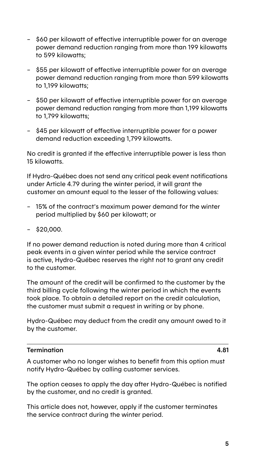- \$60 per kilowatt of effective interruptible power for an average power demand reduction ranging from more than 199 kilowatts to 599 kilowatts;
- \$55 per kilowatt of effective interruptible power for an average power demand reduction ranging from more than 599 kilowatts to 1,199 kilowatts;
- \$50 per kilowatt of effective interruptible power for an average power demand reduction ranging from more than 1,199 kilowatts to 1,799 kilowatts;
- \$45 per kilowatt of effective interruptible power for a power demand reduction exceeding 1,799 kilowatts.

No credit is granted if the effective interruptible power is less than 15 kilowatts.

If Hydro-Québec does not send any critical peak event notifications under Article 4.79 during the winter period, it will grant the customer an amount equal to the lesser of the following values:

- 15% of the contract's maximum power demand for the winter period multiplied by \$60 per kilowatt; or
- \$20,000.

If no power demand reduction is noted during more than 4 critical peak events in a given winter period while the service contract is active, Hydro-Québec reserves the right not to grant any credit to the customer.

The amount of the credit will be confirmed to the customer by the third billing cycle following the winter period in which the events took place. To obtain a detailed report on the credit calculation, the customer must submit a request in writing or by phone.

Hydro-Québec may deduct from the credit any amount owed to it by the customer.

#### Termination 4.81

A customer who no longer wishes to benefit from this option must notify Hydro-Québec by calling customer services.

The option ceases to apply the day after Hydro-Québec is notified by the customer, and no credit is granted.

This article does not, however, apply if the customer terminates the service contract during the winter period.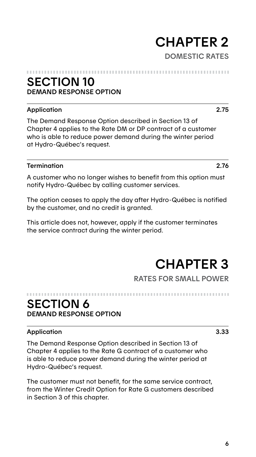# CHAPTER 2 – DOMESTIC RATES

## SECTION 10 DEMAND RESPONSE OPTION

### Application 2.75

The Demand Response Option described in Section 13 of Chapter 4 applies to the Rate DM or DP contract of a customer who is able to reduce power demand during the winter period at Hydro-Québec's request.

#### Termination 2.76

A customer who no longer wishes to benefit from this option must notify Hydro-Québec by calling customer services.

The option ceases to apply the day after Hydro-Québec is notified by the customer, and no credit is granted.

This article does not, however, apply if the customer terminates the service contract during the winter period.

# CHAPTER 3

## SECTION 6 DEMAND RESPONSE OPTION

#### Application 3.33

The Demand Response Option described in Section 13 of Chapter 4 applies to the Rate G contract of a customer who is able to reduce power demand during the winter period at Hydro-Québec's request.

The customer must not benefit, for the same service contract, from the Winter Credit Option for Rate G customers described in Section 3 of this chapter.